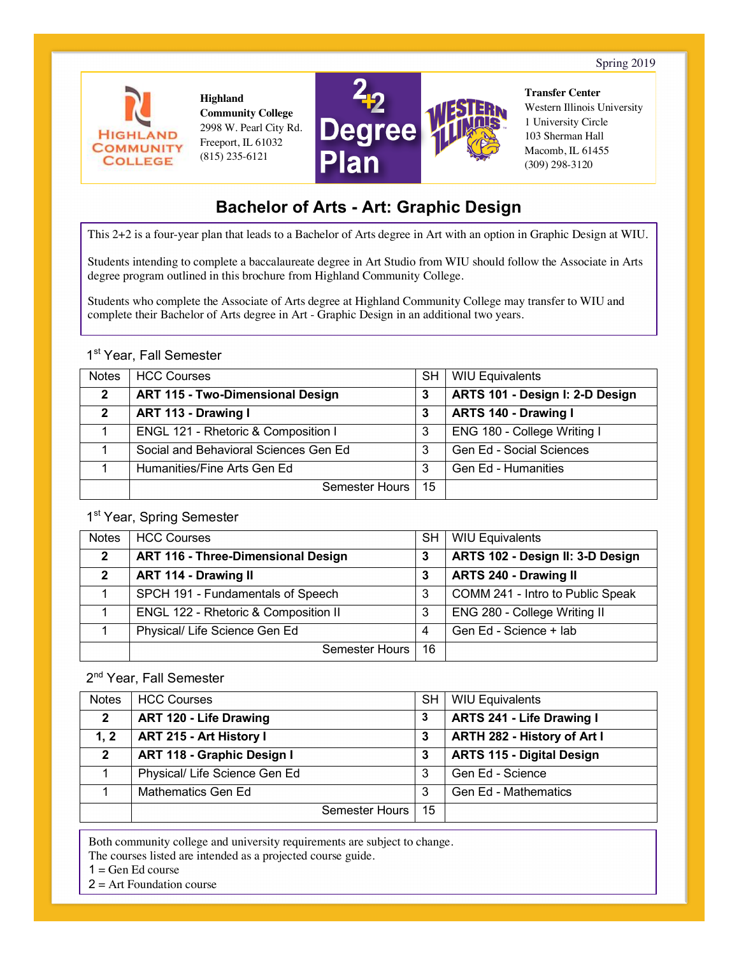Spring 2019



**Highland Community College** 2998 W. Pearl City Rd. Freeport, IL 61032 (815) 235-6121



**Transfer Center** Western Illinois University 1 University Circle 103 Sherman Hall Macomb, IL 61455 (309) 298-3120

# **Bachelor of Arts - Art: Graphic Design**

This 2+2 is a four-year plan that leads to a Bachelor of Arts degree in Art with an option in Graphic Design at WIU.

Students intending to complete a baccalaureate degree in Art Studio from WIU should follow the Associate in Arts degree program outlined in this brochure from Highland Community College.

Students who complete the Associate of Arts degree at Highland Community College may transfer to WIU and complete their Bachelor of Arts degree in Art - Graphic Design in an additional two years.

## 1<sup>st</sup> Year, Fall Semester

| <b>Notes</b> | <b>HCC Courses</b>                      | SH | <b>WIU Equivalents</b>          |
|--------------|-----------------------------------------|----|---------------------------------|
| $\mathbf{2}$ | <b>ART 115 - Two-Dimensional Design</b> | 3  | ARTS 101 - Design I: 2-D Design |
| $\mathbf{2}$ | ART 113 - Drawing I                     | 3  | <b>ARTS 140 - Drawing I</b>     |
|              | ENGL 121 - Rhetoric & Composition I     |    | ENG 180 - College Writing I     |
|              | Social and Behavioral Sciences Gen Ed   |    | Gen Ed - Social Sciences        |
|              | Humanities/Fine Arts Gen Ed             | 3  | Gen Ed - Humanities             |
|              | <b>Semester Hours</b>                   | 15 |                                 |

# 1st Year, Spring Semester

| <b>Notes</b>   | <b>HCC Courses</b>                   | <b>SH</b> | <b>WIU Equivalents</b>           |
|----------------|--------------------------------------|-----------|----------------------------------|
| $\overline{2}$ | ART 116 - Three-Dimensional Design   | 3         | ARTS 102 - Design II: 3-D Design |
| $\mathbf{2}$   | <b>ART 114 - Drawing II</b>          | 3         | <b>ARTS 240 - Drawing II</b>     |
|                | SPCH 191 - Fundamentals of Speech    | 3         | COMM 241 - Intro to Public Speak |
|                | ENGL 122 - Rhetoric & Composition II | 3         | ENG 280 - College Writing II     |
|                | Physical/ Life Science Gen Ed        | 4         | Gen Ed - Science + lab           |
|                | <b>Semester Hours</b>                | 16        |                                  |

# 2<sup>nd</sup> Year, Fall Semester

| <b>Notes</b> | <b>HCC Courses</b>                |                | SH. | <b>WIU Equivalents</b>           |
|--------------|-----------------------------------|----------------|-----|----------------------------------|
| $\mathbf{2}$ | ART 120 - Life Drawing            |                | 3   | <b>ARTS 241 - Life Drawing I</b> |
| 1, 2         | ART 215 - Art History I           |                | 3   | ARTH 282 - History of Art I      |
| $\mathbf{2}$ | <b>ART 118 - Graphic Design I</b> |                | 3   | <b>ARTS 115 - Digital Design</b> |
|              | Physical/ Life Science Gen Ed     |                | 3   | Gen Ed - Science                 |
|              | Mathematics Gen Ed                |                | 3   | Gen Ed - Mathematics             |
|              |                                   | Semester Hours | 15  |                                  |

Both community college and university requirements are subject to change.

The courses listed are intended as a projected course guide.

 $1 =$  Gen Ed course

 $2 =$  Art Foundation course